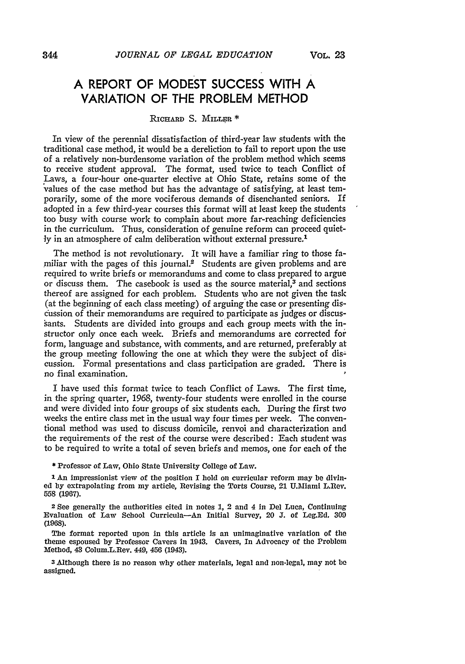# **A REPORT OF MODEST SUCCESS WITH A VARIATION OF THE PROBLEM METHOD**

#### RICHARD S. MILLER \*

In view of the perennial dissatisfaction of third-year law students with the traditional case method, it would be a dereliction to fail to report upon the use of a relatively non-burdensome variation of the problem method which seems to receive student approval. The format, used twice to teach Conflict of Laws, a four-hour one-quarter elective at Ohio State, retains some of the values of the case method but has the advantage of satisfying, at least temporarily, some of the more vociferous demands of disenchanted seniors. If adopted in a few third-year courses this format will at least keep the students too busy with course work to complain about more far-reaching deficiencies in the curriculum. Thus, consideration of genuine reform can proceed quietly in an atmosphere of calm deliberation without external pressure.<sup>1</sup>

The method is not revolutionary. It will have a familiar ring to those familiar with the pages of this journal.<sup>2</sup> Students are given problems and are required to write briefs or memorandums and come to class prepared to argue or discuss them. The casebook is used as the source material,<sup>3</sup> and sections thereof are assigned for each problem. Students who are not given the task (at the beginning of each class meeting) of arguing'the case or presenting discussion of their memorandums are required to participate as judges or discussants. Students are divided into groups and' each group meets with the instructor only once each week. Briefs and memorandums are corrected for form, language and substance, with comments, and are returned, preferably at the group meeting following the one at which they were the subject of discussion. Formal presentations and class participation are graded. There is no final examination.

I have used this format twice to teach Conflict of Laws. The first time, in the spring quarter, 1968, twenty-four students were enrolled in the course and were divided into four groups of six students each. During the first two weeks the entire class met in the usual way four times per week. The conventional method was used to discuss domicile, renvoi and characterization and the requirements of the rest of the course were described: Each student was to be required to write a total of seven briefs and memos, one for each of the

\* Professor of Law, Ohio State University College of Law.

 $1$  An impressionist view of the position I hold on curricular reform may be divined by extrapolating from my article, Revising the Torts Course, 21 U.Miami L.Rev. 558 (1967).

2 See generally the authorities cited in notes 1, 2 and 4 in Del Luca, Continuing Evaluation of Law School Curricula-An Initial Survey, 20 J. of Leg.Ed. 300 (1968).

The format reported upon in this article is an unimaginative variation of the theme espoused by Professor Cavers in 1943. Cavers, In Advocacy of the Problem Method, 43 Colum.L.Rev. 449, 456 (1943).

3.Although there is no reason why other materials, legal and non·legal, may not be assigned.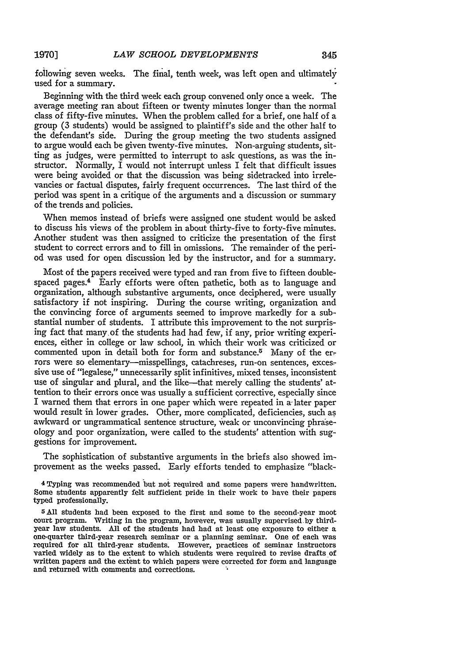following seven weeks. The final, tenth week, was left open and ultimately used for a summary.

Beginning with the third week each group convened only once a week. The average meeting ran about fifteen or twenty minutes longer than the normal class of fifty-five minutes. When the problem called for a brief, one half of a group (3 students) would be assigned to plaintiff's side and the other half to the defendant's side. During the group meeting the two students assigned to argue would each be given twenty-five minutes. Non-arguing students, sitting as judges, were permitted to interrupt to ask questions, as was the instructor. Normally,  $\overline{I}$  would not interrupt unless  $\overline{I}$  felt that difficult issues were being avoided or that the discussion was being sidetracked into irrelevancies or factual disputes, fairly frequent occurrences. The last third of the period was spent in a critique of the arguments and a discussion or summary of the trends and policies.

When memos instead of briefs were assigned one student would be asked to discuss his views of the problem in about thirty-five to forty-five minutes. Another student was then assigned to criticize the presentation of the first student to correct errors and to fill in omissions. The remainder of the period was used for open discussion led by the instructor, and for a summary.

Most of the papers received were typed and ran from five to fifteen doublespaced pages.<sup>4</sup> Early efforts were often pathetic, both as to language and organization, although substantive arguments, once deciphered, were usually satisfactory if not inspiring. During the course writing, organization and the convincing force of arguments seemed to improve markedly for a substantial number of students. I attribute this improvement to the not surprising fact that many.of the students had had few, if any, prior writing experiences, either in college or law school, in which their work was criticized or commented upon in detail both for form and substance.<sup>5</sup> Many of the errors were so elementary-misspellings, catachreses, run-on sentences, excessive use of "legalese," unnecessarily split infinitives, mixed tenses, inconsistent use of singular and plural, and the like-that merely calling the students' attention to their errors once was usually a sufficient corrective, especially since I warned them that errors in one paper which were repeated in a'later paper would result in lower grades. Other, more complicated, deficiencies, such as awkward or ungrammatical sentence structure, weak or unconvincing phraseology and poor organization, were called to the students' attention with suggestions for improvement.

The sophistication of substantive arguments in the briefs also showed improvement as the weeks passed. Early efforts tended to emphasize "black-

<sup>4</sup>Typing was recommended but not required and some papers were handwritten. Some students apparently felt sufficient pride in their work to have their papers typed professionally.

<sup>5</sup> All students had been exposed to the first and some to the second-year moot court program. Writing in the program, however, was usually supervised.by thirdyear law students. All of the students had had at least one exposure to either a one-quarter third-year research seminar or a planning seminar. One of each was required for all third-year students. However, practices of seminar instructors varied widely as to the extent to which students were required to revise drafts of written papers and the extent to which papers were corrected for form and language and returned with comments and corrections.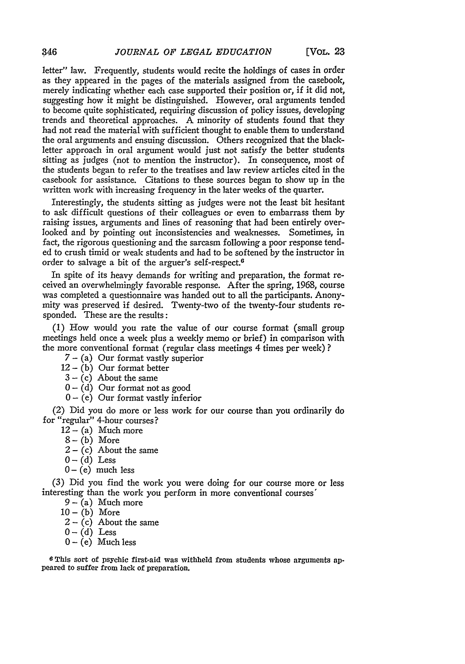letter" law. Frequently, students would recite the holdings of cases in order as they appeared in the pages of the materials assigned from the casebook, merely indicating whether each case supported their position or, if it did not, suggesting how it might be distinguished. However, oral arguments tended to become quite sophisticated, requiring discussion of policy issues, developing trends and theoretical approaches. A minority of students found that they had not read the material with sufficient thought to enable them to understand the oral arguments and ensuing discussion. Others recognized that the blackletter approach in oral argument would just not satisfy the better students sitting as judges (not to mention the instructor). In consequence, most of the students began to refer to the treatises and law review articles cited in the casebook for assistance. Citations to these sources began to show up in the written work with increasing frequency in the later weeks of the quarter.

Interestingly, the students sitting as judges were not the least bit hesitant to ask difficult questions of their colleagues or even to embarrass them by raising issues, arguments and lines of reasoning that had been entirely overlooked and by pointing out inconsistencies and weaknesses. Sometimes, in fact, the rigorous questioning and the sarcasm following a poor response tended to crush timid or weak students and had to be softened by the instructor in order to salvage a bit of the arguer's self-respect.G

In spite of its heavy demands for writing and preparation, the format received an overwhelmingly favorable response. After the spring, 1968, course was completed a questionnaire was handed out to all the participants. Anonymity was preserved if desired. Twenty-two of the twenty-four students responded. These are the results:

(1) How would you rate the value of our course format (small group meetings held once a week plus a weekly memo or brief) in comparison with the more conventional format (regular class meetings 4 times per week) ?

 $7 - (a)$  Our format vastly superior

- $12 (b)$  Our format better
- $3 (c)$  About the same
- $0 (d)$  Our format not as good
- $0 (e)$  Our format vastly inferior

(2) Did you do more or less work for our course than you ordinarily do for "regular" 4-hour courses?

- $12 (a)$  Much more
- $8 (b)$  More
- $2 (c)$  About the same
- $0 (d)$  Less
- $0 (e)$  much less

(3) Did you find the work you were doing for our course more or less interesting than the work you perform in more conventional courses'

- $9 (a)$  Much more
- $10 (b)$  More
- $2 (c)$  About the same
- $0 (d)$  Less
- $0 (e)$  Much less

6 This sort of psychic first-aid was withheld from students whose arguments appeared to suffer from lack of preparation.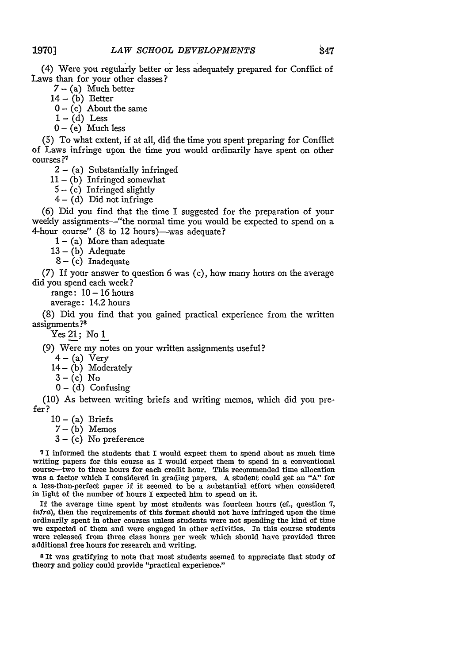(4) Were you regularly better or less adequately prepared for Conflict of Laws than for your other classes?

- $7 (a)$  Much better
- $14 (b)$  Better
- $0 (c)$  About the same
- $1 (d)$  Less
- $0 (e)$  Much less

(5) To what extent, if at aU, did the time you spent preparing for Conflict of Laws infringe upon the time you would ordinarily have spent on other courses?'

 $2 - (a)$  Substantially infringed

 $11 - (b)$  Infringed somewhat

 $5 - (c)$  Infringed slightly

 $4 - (d)$  Did not infringe

(6) Did you find that the time I suggested for the preparation of your weekly assignments-"the normal time you would be expected to spend on a 4-hour course" (8 to 12 hours)—was adequate?

 $1 - (a)$  More than adequate

 $13 - (b)$  Adequate

 $8 - (c)$  Inadequate

(7) If your answer to question 6 was (c), how many hours on the average did you spend each week?

range:  $10 - 16$  hours

average: 14.2 hours

(8) Did you find that you gained practical experience from the written assignments ?S

 $\rm\,Yes$   $21$  ;  $\rm\,No$   $1$ 

(9) Were my notes on your written assignments useful?

 $4 - (a)$  Very

 $14 - (b)$  Moderately

- $3 (c)$  No
- $0 (d)$  Confusing

(10) As between writing briefs and writing memos, which did you prefer?

- $10 (a)$  Briefs
- $7 (b)$  Memos
- $3 (c)$  No preference

? I informed the students that I would expect them to spend about as much time writing papers for this course as I would expect them to spend in a conventional course--two to three hours for each credit hour. This recommended time allocation was a factor which I considered in grading papers. A student could get an "A" for a less-than-perfect paper if it seemed to be a substantial effort when considered in light of the number of hours I expected him to spend on it.

If the average time spent by most students was fourteen hours (cf., question  $7$ , intra), then the requirements of this format should not have infringed upon the time ordinarily spent in other courses unless students were not spending the kind of time we expected of them and were engaged in other activities. In this course students were released from three class hours per week which should have provided three additional free hours for research and writing.

<sup>s</sup>It was gratifying to note that most students seemed to appreciate that study of theory and policy could provide "practical experience."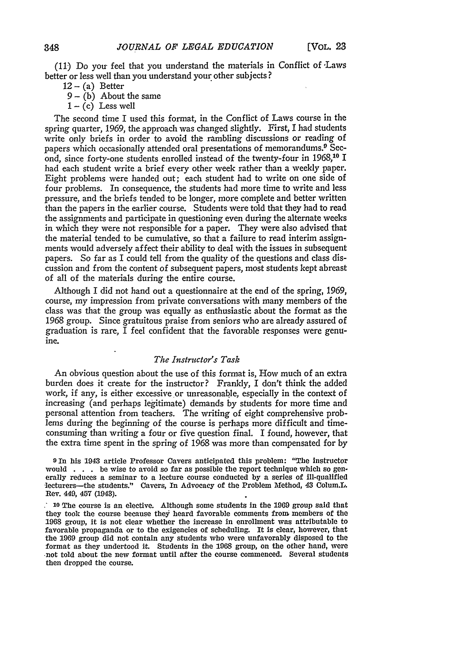(11) Do you feel that you understand the materials in Conflict of Laws better or less well than you understand your other subjects?

- $12 (a)$  Better
- $9 (b)$  About the same
- $1 (c)$  Less well

The second time I used this format, in the Conflict of Laws course in the spring quarter, 1969, the approach was changed slightly. First, I had students write only briefs in order to avoid the rambling discussions or reading of papers which occasionally attended oral presentations of memorandums.9 Second, since forty-one students enrolled instead of the twenty-four in 1968,10 I had each student write a brief every other week rather than a weekly paper. Eight problems were handed out; each student had to write on one side of four problems. In consequence, the students had more time to write and less pressure, and the briefs tended to be longer, more complete and better written than the papers in the earlier course. Students were told that they had to read the assignments and participate in questioning even during the alternate weeks in which they were not responsible for a paper. They were also advised that the material tended to be cumulative, so that a failure to read interim assignments would adversely affect their ability to deal with the issues in subsequent papers. So far as I could tell from the quality of the *questions* and class discussion and from the content of subsequent papers, most students kept abreast of all of the materials during the entire course.

Although I did not hand out a questionnaire at the end of the spring, 1969, course, my impression from private conversations with many members of the class was that the group was equally as enthusiastic about the format as the 1968 group. Since gratuitous praise from seniors who are already assured of graduation is rare, I feel confident that the favorable responses were genuine.

#### *The Instructor's Task*

An obvious question about the use of this format is, How much of an extra burden does it create for the instructor? Frankly, I don't think the added work, if any, is either excessive or unreasonable, especially in the context of increasing (and perhaps legitimate) demands by students for more time and personal attention from teachers. The writing of eight comprehensive problems during the beginning of the course is perhaps more difficult and timeconsuming than writing a four or five question final. I found, however, that the extra time spent in the spring of 1968 was more than compensated for by

9 In his 1943 article Professor Cavers anticipated this problem: "The instructor would . . . be wise to avoid so far as possible the report technique which so gen· erally reduces a seminar to a lecture course conducted by a series of ill·qualified lecturers-the students." Cavers, In Advocacy of the Problem Method, 43 Colum.L. Rev. 449, 457 (1943).

: 10 The course is an elective. Althougb some students in the 1969 group snid thnt they took the course because they henrd favornble comments from members of the 1968 group, it is not clear whether the increase in enrollment was attributable to favorable propaganda or to the exigencies of scheduling. It is clear, however, thnt the 1969 group did not contain any students who were unfavorably disposed to the format as they undertood it. Students in the 1968 group, on the other hand, were ·not told about the new format until after the course commenced. Several students then dropped the course.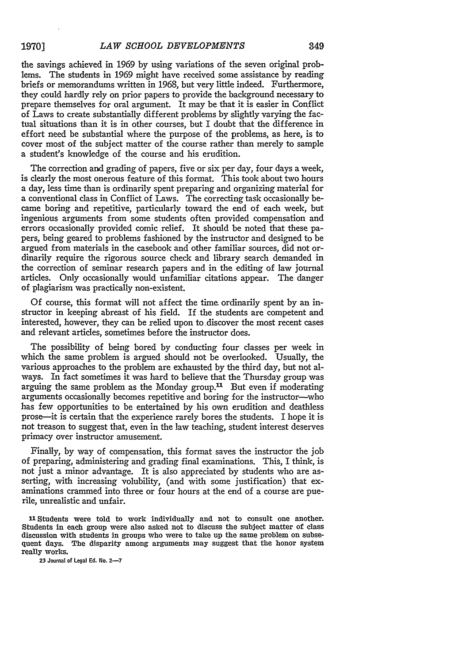the savings achieved in 1969 by using variations of the seven original problems. The students in 1969 might have received some assistance by reading briefs or memorandums written in 1968, but very little indeed. Furthermore, they could hardly rely on prior papers to provide the background necessary to prepare themselves for oral argument. It may be that it is easier in Conflict of Laws to create substantially different problems by slightly varying the factual situations than it is in other courses, but I doubt that the difference in effort need be substantial where the purpose of the problems, as here, is to cover most of the subject matter of the course rather than merely to sample a student's knowledge of the course and his erudition.

The correction and grading of papers, five or six per day, four days a week, is clearly the most onerous feature of this format. This took about two hours a day, less time than is ordinarily spent preparing and organizing material for a conventional class in Conflict of Laws. The correcting task occasionally became boring and repetitive, particularly toward the end of each week, but ingenious arguments from some students often provided compensation and errors occasionally provided comic relief. It should be noted that these papers, being geared to problems fashioned by the instructor and designed to be argued from materials in the casebook and other familiar sources, did not ordinarily require the rigorous source check and library search demanded in the correction of seminar research papers and in the editing of law journal articles. Only occasionally would unfamiliar citations appear. The danger of plagiarism was practically non-existent.

Of course, this format will not affect the time. ordinarily spent by an instructor in keeping abreast of his field. If the students are competent and interested, however, they can be relied upon to.discover the most recent cases and relevant articles, sometimes before the instructor does.

The possibility of being bored by conducting four classes per week in which the same problem is argued should not be overlooked. Usually, the various approaches to the problem are exhausted by the third day, but not always. In fact sometimes it was hard to believe that the Thursday group was arguing the same problem as the Monday group.<sup>11</sup> But even if moderating arguments occasionally becomes repetitive and boring for the instructor-who has few opportunities to be entertained by his own erudition and deathless prose-it is certain that the experience rarely bores the students. I hope it is not treason to suggest that, even in the law teaching, student interest deserves primacy over instructor amusement.

Finally, by way of compensation, this format saves the instructor the job of preparing, administering and grading final examinations. This, I think, is not just a minor advantage. It is also appreciated by students who are asserting, with increasing volubility, (and with some justification) that examinations crammed into three or four hours at the end of a course are puerile, unrealistic and unfair.

11 Students were told to work individually and not to consult one another. Students in each group were also asked not to discuss the subject matter of class discussion with students in groups who were to take up the same problem on subsequent days. The disparity among arguments may suggest that the honor system really works.

23 Journal of Legal Ed. No. 2-7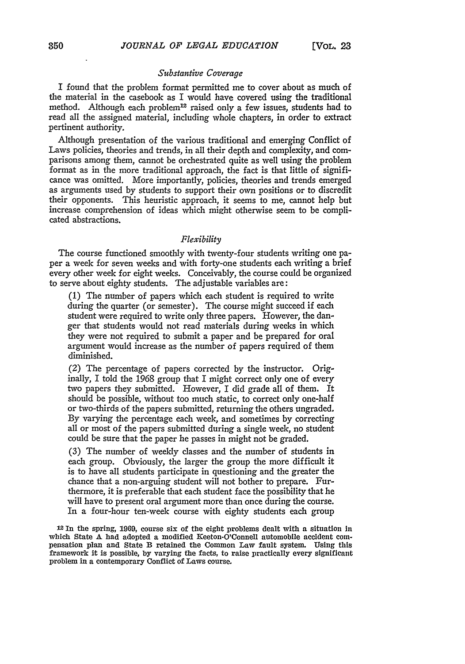#### *Substantive Coverage*

I found that the problem format permitted me to cover about as much of the material in the casebook as I would have covered using the traditional method. Although each problem<sup>12</sup> raised only a few issues, students had to read all the assigned material, including whole chapters, in order to extract pertinent authority.

Although presentation of the various traditional and emerging Conflict of Laws policies, theories and trends, in all their depth and complexity, and comparisons among them, cannot be orchestrated quite as well using the problem format as in the more traditional approach, the fact is that little of significance was omitted. More importantly, policies, theories and trends emerged as arguments used by students to support their own positions or to discredit their opponents. This heuristic approach, it seems to me, cannot help but increase comprehension of ideas which might otherwise seem to be complicated abstractions.

### *Flexibility*

The course functioned smoothly with twenty-four students writing one paper a week for seven weeks and with forty-one students each writing a brief every other week for eight weeks. Conceivably, the course could be organized to serve about eighty students. The adjustable variables are:

(1) The number of papers which each student is required to write during the quarter (or semester). The course might succeed if each student were required to write only three papers. However, the danger that students would not read materials during weeks in which they were not required to submit a paper and be prepared for oral argument would increase as the number of papers required of them diminished.

(2) The percentage of papers corrected by the instructor. Originally, I told the 1968 group that I might correct only one of every two papers they submitted. However, I did grade all of them. It should be possible, without too much static, to correct only one-half or two-thirds of the papers submitted, returning the others ungraded. By varying the percentage each week, and sometimes by correcting all or most of the papers submitted during a single week, no student could be sure that the paper he passes in might not be graded.

(3) The number of weekly classes and the number of students in each group. Obviously, the larger the group the more difficult it is to have all students participate in questioning and the greater the chance that a non-arguing student will not bother to prepare. Furthermore, it is preferable that each student face the possibility that he will have to present oral argument more than once during the course. In a four-hour ten-week course with eighty students each group

<sup>12</sup>In the spring, 1969, course six of the eight problems dealt with a situation in which State A had adopted a modified Keeton-O'Connell automobile accident com-<br>pensation plan and State B retained the Common Law fault system. Using this framework it is possible, by varying the facts, to raise practically every significant problem in a contemporary Conflict of Laws course.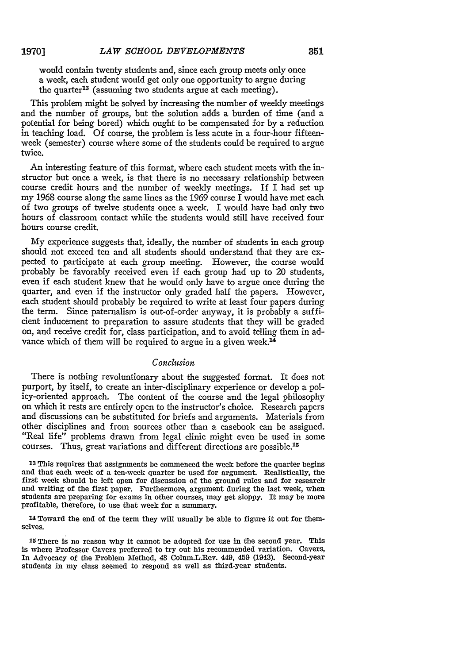would contain twenty students and, since each group meets only once a week, each student would get only one opportunity to argue during the quarter<sup>13</sup> (assuming two students argue at each meeting).

This problem might be solved by increasing the number of weekly meetings and the number of groups, but the solution adds a burden of time (and a potential for being bored) which ought to be compensated for by a reduction in teaching load. Of course, the problem is less acute in a four-hour fifteenweek (semester) course where some of the students could be required to argue twice.

An interesting feature of this format, where each student meets with the instructor but once a week, is that there is no necessary relationship between course credit hours and the number of weekly meetings. If I had set up my 1968 course along the same lines as the 1969 course I would have met each of two groups of twelve students once a week. I would have had only two hours of classroom contact while the students would still have received four hours course credit.

My experience suggests that, ideally, the number of students in each group should not exceed ten and all students should understand that they are expected to participate at each group meeting. However, the course would probably be favorably received even if each group had up to 20 students, even if each student knew that he would only have to argue once during the quarter, and even if the instructor only graded half the papers. However, each student should probably be required to write at least four papers during the term. Since paternalism is out-of-order anyway, it is probably a sufficient inducement to preparation to assure students that they will be graded on, and receive credit for, class participation, and to avoid telling them in advance which of them will be required to argue in a given week.<sup>14</sup>

## *Conclusion*

There is nothing revoluntionary about the suggested format. It does not purport, by itself, to create an inter-disciplinary experience or develop a poliey-oriented approach. The content of the course and the legal philosophy on which it rests are entirely open to the instructor's choice. Research papers and discussions can be substituted for briefs and arguments. Materials from other disciplines and from sources other than a casebook can be assigned. "Real life" problems drawn from legal clinic might even be used in some courses. Thus, great variations and different directions are possible.1s

13 This requires that assignments be commenced the week before the quarter begins and that each week of a ten-week quarter be used for argument. Realistically, the first week should be left open for discussion of the ground rules and for research and writing of the first paper. Furthermore, argument during the last week, when students are preparing for exams in other courses, may get sloppy. It may be more profitable, therefore, to use that week for a summary.

14 Toward the end of the term they will usually be able to figure it out for themselves.

15 There is no reason why it cannot be adopted for use in the second year. This is where Professor Cavers preferred to tryout his recommended variation. Cavers, In Advocacy of the Problem Method, 43 Colum.L.Rev. 449, 459 (1943). Second-year students in my class seemed to respond as well as third-year students.